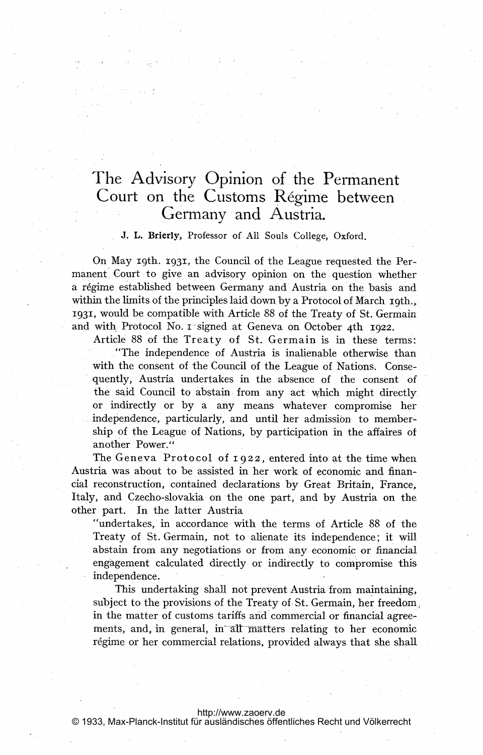# The Advisory Opinion of the Permanent Court on the Customs Régime between Germany and Austria.

# J. L. Brierly, Professor of All Souls College, Oxford.

On May 19th. 1931, the Council of the League requested the Permanent Court to give an advisory opinion on the question whether a régime established between Germany and Austria on the basis and within the limits of the principles laid down by <sup>a</sup> Protocol of March 19th., 1931, would be compatible with Article <sup>88</sup> of the Treaty of St. Germain and with Protocol No. I signed at Geneva on October 4th 1922.

Article' <sup>88</sup> of the Treaty of St. Germain is in these terms:

"The independence of Austria is inalienable otherwise than with the consent of the Council of the League of Nations. Consequently, Austria undertakes in the absence of the consent of the said Council to abstain from any act which might directly or indirectly or by a any means whatever compromise her independence, particularly, and until her admission to membership of the League of Nations, by participation in the affaires of another Power."

The Geneva Protocol of  $1922$ , entered into at the time when. Austria was about to be assisted in her work of economic and financial reconstruction, contained declarations by Great Britain, France, Italy, and Czecho-slovakia on the one part, and by Austria on the other part. In the latter Austria

I Iundertakes, in accordance with the terms of Article 88 of the Treaty of St. Germain, not to alienate its independence; it will abstain from any negotiations or from any economic or financial engagement calculated directly or indirectly to compromise this. independence.

This undertaking shall not prevent Austria from maintaining, subject to the provisions of the Treaty of St. Germain, her freedom, in the matter of customs tariffs and commercial or financial agreements, and, in general, in all matters relating to her economic régime or her commercial relations, provided always that she shall

## <http://www.zaoerv.de>

© 1933, Max-Planck-Institut für ausländisches öffentliches Recht und Völkerrecht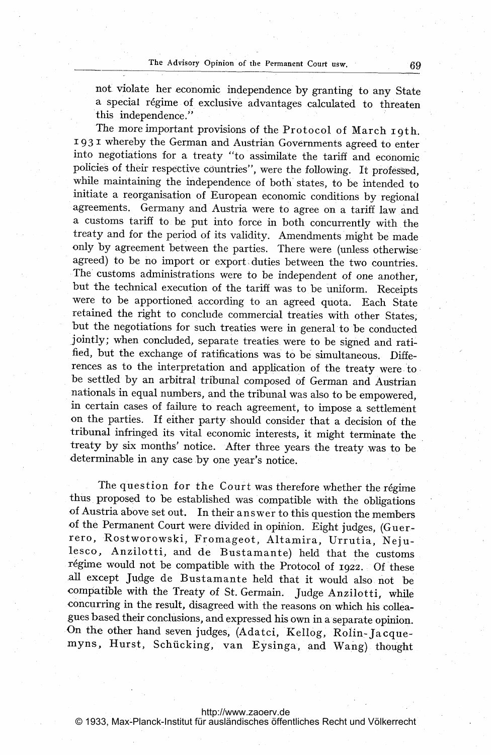not, violate her economic independence by granting to any State a special régime of exclusive advantages calculated to threaten this independence."

The more important provisions of the Protocol of March 19th. 1931 whereby the German and Austrian Governments agreed to enter into negotiations for a treaty "to assimilate the tariff and economic policies of their respective countries", were the following. It professed, while maintaining the independence of both'states, to be intended to initiate a reorganisation of European economic conditions by regional agreements. Germany and Austria were to agree on a tariff law and a customs tariff to be put into force in both concurrently with the treaty and for the period of its validity. Amendments might be made only by agreement between the parties. There were (unless otherwiseagreed) to be no import or export duties between the two countries. The customs administrations were to be independent of one another, but the technical execution of the tariff was to be uniform. Receipts were to be apportioned according to an agreed quota. Each State retained the right to conclude commercial treaties with other States, but the negotiations for such treaties were in general to be conducted jointly; when concluded, separate treaties. were to be signed and ratified, but the exchange of ratifications was to be simultaneous. Differences as to the interpretation and application of the treaty were.to. be settled by an arbitral tribunal composed of German and Austrian nationals in equal numbers, and the tribunal was also to be empowered, .in certain cases of failure to reach agreement, to impose a settlement on the parties. If either party should consider that a decision of the tribunal infringed its vital economic interests, it might terminate the treaty by six months' notice. After three years the treaty was to be determinable in any case by one year's notice.

The question for the Court was therefore whether the regime thus proposed to be established was compatible with the obligations of Austria above set out. In their answer to this question the members of the Permanent Court were divided in opinion. Eight judges, (Guerrero, Rostworowski, Fromageot, Altamira, Urrutia, Nejulesco, Anzilotti, and de Bustamante) held that the customs régime would not be compatible with the Protocol of 1922. Of these all except judge de Bustamante held that it would also not be compatible with the Treaty of St. Germain. judge Anzilotti, while concurring in the result, disagreed with the reasons on which his collea- ,gues based their conclusions, and expressed his own in a separate opinion. On the other hand seven judges, (Adatci, IKellog, Rolin-Jacquemyns, Hurst, Schücking, van Eysinga, and Wang) thought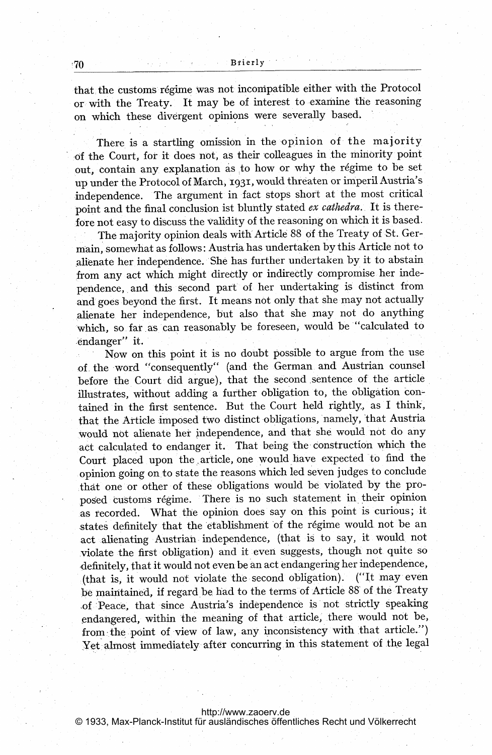that the customs régime was not incompatible either with the Protocol or with the Treaty. It may be of interest to -examine the reasoning on which these divergent opinions were severally based.

There is a startling omission in the opinion of the majority of the Court, for it does not, as their 'colleagues in the minority point out, contain any explanation as to how or why the régime to be set up under the Protocol of March, 1931, would threaten or imperil Austria's independence. The argument in fact stops short at the most critical point and the final conclusion ist bluntly stated ex cathedra. It is therefore not easy to discuss the validity of the reasoning on which it is based.

The majority opinion deals with'Article 88 of the Treaty of St. Germain, somewhat as follows: Austria has undertaken by this Article not to Alienate her independence. 'She has further undertaken by it to abstain from any act which might directly or indirectly compromise her independence, and this second part of her undertaking is distinct from and goes beyond the first. It means not only that she may not actually alienate her independence, but also that she may not do anything which, so far as can reasonably be foreseen, would be "calculated to endanger" it.

Now on this point it is no doubt possible to argue from the use of the word "consequently" (and the German and Austrian counsel before the Court did argue), that the second.sentence of the article illustrates, without adding a further obligation to, the obligation contained in the first sentence. But the Court held rightly, as <sup>I</sup> think., that the Article imposed two distinct obligations, namely, that Austria .would not alienate her independence, and that she would not do any act calculated to endanger it. That being the construction which the Court placed upon the article, one would have expected to find the opinion going on.to state the reasons which led seven judges to conclude that one or other of these obligations would be violated by the proposed customs régime. There is no such statement in their opinion as recorded. What the opinion does say on this point is curious; it states definitely that the etablishment of the régime would not be an act alienating Austrian independence, (that is to say, it would not violate the first obligation) and it even suggests, though not. quite so definitely, that it would not even be an act endangering her independence, (that is, it would not violate the second obligation). ("It may even be maintained, if regard be had to the terms of Article 88 of the Treaty of Peace, that since Austria's independence is not strictly speaking endangered, within 'the meaning of that article, there would not be, from the point of view of law, any inconsistency with that article.") Yet almost immediately after concurring in this statement of the legal

<http://www.zaoerv.de> © 1933, Max-Planck-Institut für ausländisches öffentliches Recht und Völkerrecht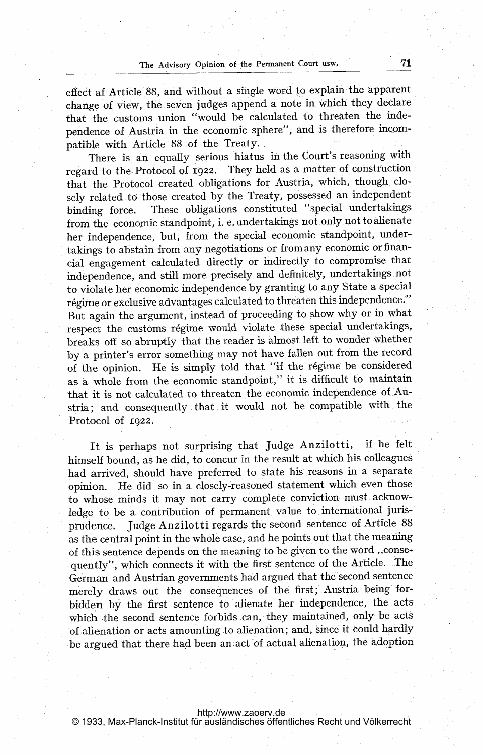effect af Article 88, and without a single word to explain the apparent change of view, the seven judges append a note in Which they declare that the customs union "would be calculated to threaten the independence of Austria in the economic sphere", and is therefore incompatible with Article 88 of the Treaty.

There is an equally serious hiatus in the Court's reasoning with regard to the Protocol of 1922. They held as a matter of construction that the Protocol created obligations for Austria, which, though. clo-7 sely related to those created by the Treaty, possessed an independent binding force. These obligations constituted "special undertakings from the economic standpoint, i. e. undertakings not only not to alienate her independence, but, from the special economic standpoint, undertakings to abstain from any negotiations or from any economic or financial engagement calculated directly or indirectly to compromise that independence, and still more precisely and definitely, undertakings not to violate her economic independence by granting to any State a special régime or exclusive advantages calculated to threaten this independence." But again the argument, instead of proceeding to show why or in what respect the customs régime would violate these special undertakings, breaks off so abruptly that the reader is almost left to wonder whether by <sup>a</sup> printer's error something may not have fallen out from the record of the opinion. He is simply told that "if the régime be considered as a whole from the economic standpoint," it is difficult to maintain that it is not calculated to threaten the economic independence of Austria; and consequently -that it would not be compatible with the Protocol of 1922.

It is perhaps not surprising that judge Anzilotti, if he felt himself bound, as he did, to concur in the result at which his colleagues had arrived, should have. preferred to state his reasons in a separate opinion. He did so in <sup>a</sup> closely-reasoned statement which even those to whose minds it may not carry complete conviction. must acknowledge to be a contribution of permanent value to international jurisprudence. judge Anzilotti regards the second sentence of Article 88 as the central point in the whole case, and he points out that the meaning of this sentence depends on the meaning to be given to the word ,, consequently", which connects it with the first sentence of the Article. The German and Austrian governments had argued that the second sentence merely draws out the consequences of the first; Austria being- for bidden by the first sentence to alienate her independence, the acts which the second sentence forbids can, they maintained, only be acts of alienation or acts amounting to alienation; and, since it could, hardly be argued that there had been an act of actual alienation, the adoption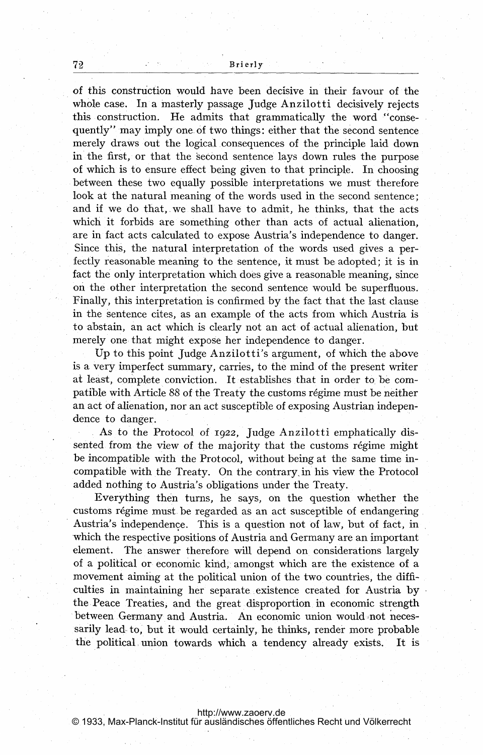of this construction would have been decisive in their favour of the whole case. In a masterly passage judge Anzilotti decisively rejects this construction. He admits that grammatically the word "consequently" may imply one of two things: either that the second sentence merely draws out the logical consequences of the principle laid down in the first, or that the second sentence lays down rules the purpose of which is to ensure effect being given to that principle. In choosing between these two equally possible interpretations we must therefore look at the natural meaning of the words used in the second sentence: and if we do that, we shall have to admit, he thinks, that the acts which it forbids are something other than acts of actual alienation, are in fact acts calculated to expose Austria's independence to danger. Since this, the natural interpretation of the words used gives a perfectly reasonable meaning to the sentence, it must be adopted; it is in fact the only interpretation which does give a reasonable meaning, since on the other interpretation the second sentence would be superfluous. Finally, this interpretation is confirmed by the fact that the last clause in the sentence cites, as an example of the acts from which Austria is to abstain, an act which is clearly not an act of actual alienation, but merely one that might expose her independence to danger.

Up to this point judge Anzilotti's argument, of which the above is <sup>a</sup> very imperfect summary, carries, to the mind of the present writer at least, complete conviction. It establishes that in order to. be compatible with Article 88 of the Treaty the customs régime must be neither an act Of alienation, nor an act susceptible of exposing Austrian independence to danger.

As to the Protocol of 1922, Judge Anzilotti emphatically dissented from the view of the majority that the customs régime might be incompatible with the Protocol, without being at the same time incompatible with the Treaty. On the contrary in his view the Protocol added nothing to Austria's obligations under the Treaty.

Everything then turns, he says, on the question whether the customs régime must be regarded as an act susceptible of endangering. Austria's independence. This is a question not of law, but of fact, in which the respective positions of Austria and Germany are an important element. The answer therefore will depend on considerations largely of a political or economic kind, amongst which are the existence of a movement aiming at the political union of the two countries, the difficulties in maintaining her separate, existence created for Austria by the Peace Treaties, and the great disproportion. in economic strength between Germany and Austria. An economic union would not necessarily lead to, but it would certainly, he thinks, render more probable the political, union towards which a tendency already exists. It is

<http://www.zaoerv.de> © 1933, Max-Planck-Institut für ausländisches öffentliches Recht und Völkerrecht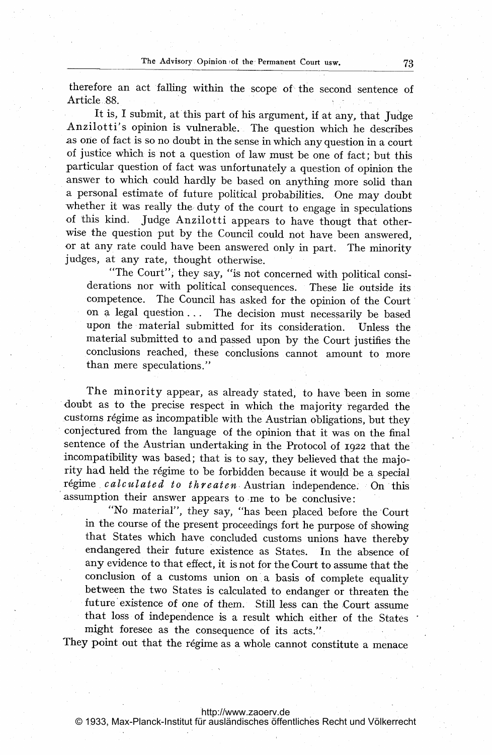therefore an act falling within the scope of the second sentence of Article .88.

It is, I submit, at this part of his argument, if at any, that Judge Anzilotti's opinion is vulnerable. The question which he describes as one of fact is so no doubt in the sense in which any question in <sup>a</sup> court of justice which is not a question of law must be one of fact; but this particular question of fact was unfortunatelya question of opinion the answer to which could hardly be based on anything more solid than <sup>a</sup> personal estimate of future political probabilities. One may doubt whether it was really the: duty of the court to engage in speculations of this kind. Judge Anzilotti appears to have thougt that otherwise the question put by the Council could not have been answered, or at any rate could have been answered only in part. The minority judges, at any rate, thought otherwise.

"The Court", they say, "is not concerned with political considerations nor with political Consequences. These lie outside its competence. The Council has asked for the opinion of the Court on a legal question ... The decision must necessarily be based upon the material submitted for its consideration. Unless the material submitted to and passed upon by the Court justifies the conclusions reached, these conclusions cannot amount to more than mere speculations."

The minority appear, as already stated, to have been in some doubt as to the precise respect in which the majority 'regarded the customs régime as incompatible with the Austrian obligations, but they conjectured from the language of the opinion that it was on the final sentence of the Austrian undertaking in the Protocol of 1922 that the incompatibility was based; that is to say, they believed that the majority had held the régime to be forbidden because it would be a special régime calculated to threaten Austrian independence. On this assumption their answer appears to me to be conclusive:

"No material", they say, "has been placed before the Court in the course of the present proceedings fort he purpose of showing that States which have concluded customs unions have thereby endangered their future existence as States. In the absence of any evidence to that effect, it is not for the Court to assume that the conclusion of a customs union on a basis of complete equality between the two States is calculated to endanger or threaten the future'existence of one of them. Still less can the Court assume that loss of independence is a result which either of the States might foresee as the consequence of its acts."

They point out that the régime as a whole cannot constitute a menace

### <http://www.zaoerv.de>

© 1933, Max-Planck-Institut für ausländisches öffentliches Recht und Völkerrecht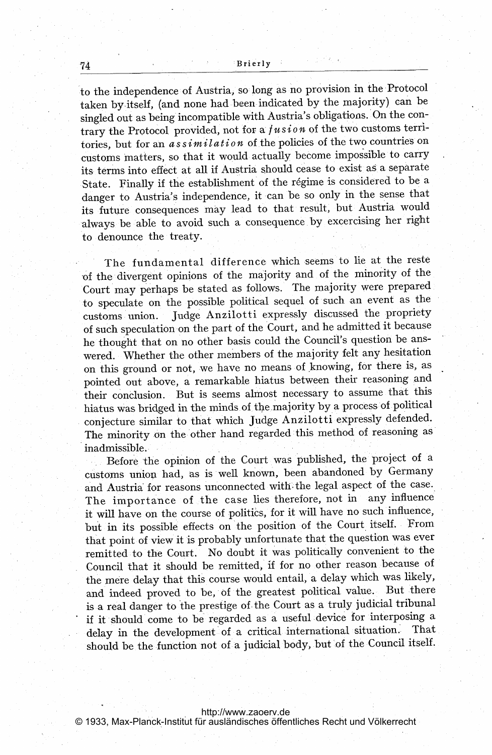#### Brierly

to the independence of Austria, so long as no provision in the Protocol taken by.itself, (and none had been indicated by the majority) can be singled out as being incompatible with Austria's obligations. On the contrary the Protocol. provided, not for a  $fusion$  of the two customs territories, but for an assimilation of the policies of the two countries on customs matters, so that it would actually become impossible to carry its terms into effect at all if Austria should cease to exist as a separate State. Finally if the establishment of the régime is considered to be a danger to Austria's independence, it can be so only in the sense that its future consequences may lead to that result, but Austria would 'always be able to avoid such a consequence. by excercising her right to denounce the treaty.

The fundamental difference which seems to lie at the reste -of the divergent opinions of the majority and of the minority of the Court may perhaps be stated as follows. The majority were prepared. to speculate on the possible political sequel of such an event as the customs union. judge Anzilotti expressly discussed the propriety of such speculation on the part of the Court, and he admitted it because he thought that on no other basis could the Council's question be answered. Whether the other members of the majority felt any hesitation on this ground or not, we have no means of knowing, for there is, as pointed out above, a remarkable hiatus between their reasoning and their conclusion. But is seems almost necessary to assume that this hiatus was bridged in the minds. of, the.majority by <sup>a</sup> process of political conjecture similar to that which judge Anzilotti expressly defended. The minority on the other hand regarded this method of reasoning as inadmissible.

Before the opinion of the Court was published, the project of a customs union had, as is well known, been abandoned by Germany and Austria for reasons unconnected with the legal aspect of the case. The importance of the case lies therefore, not in any influence it will have on the course of politics, for it will have no such influence, but in its possible effects on the position of the Court itself. From that point of view it is probably unfortunate that the question was ever remitted to the Court. No doubt it was politically convenient to the Council that it should be remitted, if for no other reason because of the mere delay that this course would entail, a delay which was likely, and indeed proved to be, of the greatest political value. But there is a real danger to the prestige of the Court as a truly judicial tribunal if it should come to be regarded as a useful device for interposing a delay in the development of a critical international situation. That should be the function not of a judicial body, but'of the Council itself.

74